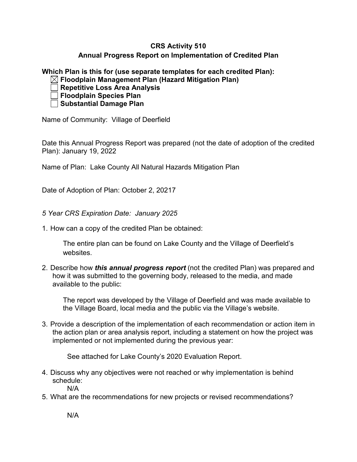## **CRS Activity 510 Annual Progress Report on Implementation of Credited Plan**

**Which Plan is this for (use separate templates for each credited Plan):**

**Floodplain Management Plan (Hazard Mitigation Plan)**

**Repetitive Loss Area Analysis**

**Floodplain Species Plan**

**Substantial Damage Plan**

Name of Community: Village of Deerfield

Date this Annual Progress Report was prepared (not the date of adoption of the credited Plan): January 19, 2022

Name of Plan: Lake County All Natural Hazards Mitigation Plan

Date of Adoption of Plan: October 2, 20217

*5 Year CRS Expiration Date: January 2025*

1. How can a copy of the credited Plan be obtained:

The entire plan can be found on Lake County and the Village of Deerfield's websites.

2. Describe how *this annual progress report* (not the credited Plan) was prepared and how it was submitted to the governing body, released to the media, and made available to the public:

The report was developed by the Village of Deerfield and was made available to the Village Board, local media and the public via the Village's website.

3. Provide a description of the implementation of each recommendation or action item in the action plan or area analysis report, including a statement on how the project was implemented or not implemented during the previous year:

See attached for Lake County's 2020 Evaluation Report.

4. Discuss why any objectives were not reached or why implementation is behind schedule:

N/A

5. What are the recommendations for new projects or revised recommendations?

N/A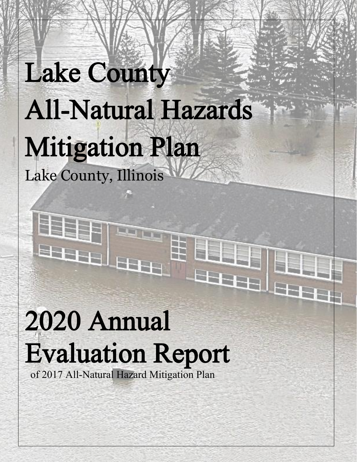# Lake County All-Natural Hazards Mitigation Plan Lake County, Illinois

Ŧ

LETE

**Bucket** 

**GLENDER** 

E

**SEARCH** 

# 2020 Annual Evaluation Report

of 2017 All-Natural Hazard Mitigation Plan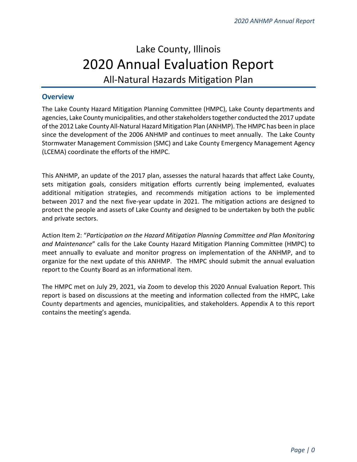# Lake County, Illinois 2020 Annual Evaluation Report All-Natural Hazards Mitigation Plan

#### **Overview**

The Lake County Hazard Mitigation Planning Committee (HMPC), Lake County departments and agencies, Lake County municipalities, and other stakeholders together conducted the 2017 update of the 2012 Lake County All-Natural Hazard Mitigation Plan (ANHMP). The HMPC has been in place since the development of the 2006 ANHMP and continues to meet annually. The Lake County Stormwater Management Commission (SMC) and Lake County Emergency Management Agency (LCEMA) coordinate the efforts of the HMPC.

This ANHMP, an update of the 2017 plan, assesses the natural hazards that affect Lake County, sets mitigation goals, considers mitigation efforts currently being implemented, evaluates additional mitigation strategies, and recommends mitigation actions to be implemented between 2017 and the next five-year update in 2021. The mitigation actions are designed to protect the people and assets of Lake County and designed to be undertaken by both the public and private sectors.

Action Item 2: "*Participation on the Hazard Mitigation Planning Committee and Plan Monitoring and Maintenance*" calls for the Lake County Hazard Mitigation Planning Committee (HMPC) to meet annually to evaluate and monitor progress on implementation of the ANHMP, and to organize for the next update of this ANHMP. The HMPC should submit the annual evaluation report to the County Board as an informational item.

The HMPC met on July 29, 2021, via Zoom to develop this 2020 Annual Evaluation Report. This report is based on discussions at the meeting and information collected from the HMPC, Lake County departments and agencies, municipalities, and stakeholders. Appendix A to this report contains the meeting's agenda.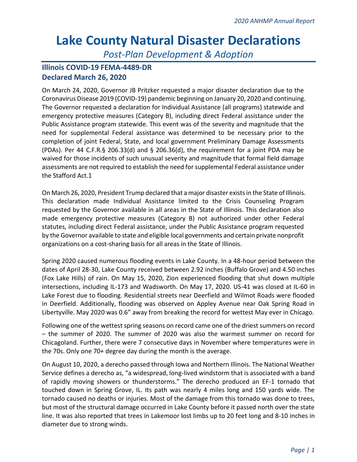# **Lake County Natural Disaster Declarations**

*Post-Plan Development & Adoption*

## **Illinois COVID-19 FEMA-4489-DR Declared March 26, 2020**

On March 24, 2020, Governor JB Pritzker requested a major disaster declaration due to the Coronavirus Disease 2019 (COVID-19) pandemic beginning on January 20, 2020 and continuing. The Governor requested a declaration for Individual Assistance (all programs) statewide and emergency protective measures (Category B), including direct Federal assistance under the Public Assistance program statewide. This event was of the severity and magnitude that the need for supplemental Federal assistance was determined to be necessary prior to the completion of joint Federal, State, and local government Preliminary Damage Assessments (PDAs). Per 44 C.F.R.§ 206.33(d) and § 206.36(d), the requirement for a joint PDA may be waived for those incidents of such unusual severity and magnitude that formal field damage assessments are not required to establish the need for supplemental Federal assistance under the Stafford Act.1

On March 26, 2020, President Trump declared that a major disaster exists in the State of Illinois. This declaration made Individual Assistance limited to the Crisis Counseling Program requested by the Governor available in all areas in the State of Illinois. This declaration also made emergency protective measures (Category B) not authorized under other Federal statutes, including direct Federal assistance, under the Public Assistance program requested by the Governor available to state and eligible local governments and certain private nonprofit organizations on a cost-sharing basis for all areas in the State of Illinois.

Spring 2020 caused numerous flooding events in Lake County. In a 48-hour period between the dates of April 28-30, Lake County received between 2.92 inches (Buffalo Grove) and 4.50 inches (Fox Lake Hills) of rain. On May 15, 2020, Zion experienced flooding that shut down multiple intersections, including IL-173 and Wadsworth. On May 17, 2020. US-41 was closed at IL-60 in Lake Forest due to flooding. Residential streets near Deerfield and Wilmot Roads were flooded in Deerfield. Additionally, flooding was observed on Appley Avenue near Oak Spring Road in Libertyville. May 2020 was 0.6" away from breaking the record for wettest May ever in Chicago.

Following one of the wettest spring seasons on record came one of the driest summers on record – the summer of 2020. The summer of 2020 was also the warmest summer on record for Chicagoland. Further, there were 7 consecutive days in November where temperatures were in the 70s. Only one 70+ degree day during the month is the average.

On August 10, 2020, a derecho passed through Iowa and Northern Illinois. The National Weather Service defines a derecho as, "a widespread, long-lived windstorm that is associated with a band of rapidly moving showers or thunderstorms." The derecho produced an EF-1 tornado that touched down in Spring Grove, IL. Its path was nearly 4 miles long and 150 yards wide. The tornado caused no deaths or injuries. Most of the damage from this tornado was done to trees, but most of the structural damage occurred in Lake County before it passed north over the state line. It was also reported that trees in Lakemoor lost limbs up to 20 feet long and 8-10 inches in diameter due to strong winds.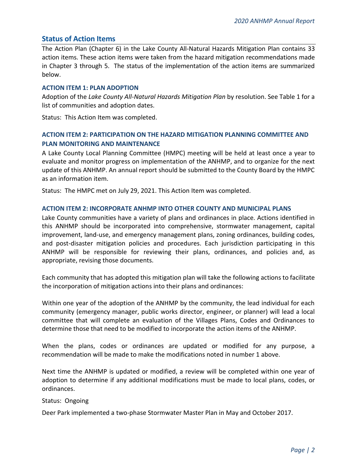#### **Status of Action Items**

The Action Plan (Chapter 6) in the Lake County All-Natural Hazards Mitigation Plan contains 33 action items. These action items were taken from the hazard mitigation recommendations made in Chapter 3 through 5. The status of the implementation of the action items are summarized below.

#### **ACTION ITEM 1: PLAN ADOPTION**

Adoption of the *Lake County All-Natural Hazards Mitigation Plan* by resolution. See Table 1 for a list of communities and adoption dates.

Status: This Action Item was completed.

### **ACTION ITEM 2: PARTICIPATION ON THE HAZARD MITIGATION PLANNING COMMITTEE AND PLAN MONITORING AND MAINTENANCE**

A Lake County Local Planning Committee (HMPC) meeting will be held at least once a year to evaluate and monitor progress on implementation of the ANHMP, and to organize for the next update of this ANHMP. An annual report should be submitted to the County Board by the HMPC as an information item.

Status: The HMPC met on July 29, 2021. This Action Item was completed.

#### **ACTION ITEM 2: INCORPORATE ANHMP INTO OTHER COUNTY AND MUNICIPAL PLANS**

Lake County communities have a variety of plans and ordinances in place. Actions identified in this ANHMP should be incorporated into comprehensive, stormwater management, capital improvement, land-use, and emergency management plans, zoning ordinances, building codes, and post-disaster mitigation policies and procedures. Each jurisdiction participating in this ANHMP will be responsible for reviewing their plans, ordinances, and policies and, as appropriate, revising those documents.

Each community that has adopted this mitigation plan will take the following actions to facilitate the incorporation of mitigation actions into their plans and ordinances:

Within one year of the adoption of the ANHMP by the community, the lead individual for each community (emergency manager, public works director, engineer, or planner) will lead a local committee that will complete an evaluation of the Villages Plans, Codes and Ordinances to determine those that need to be modified to incorporate the action items of the ANHMP.

When the plans, codes or ordinances are updated or modified for any purpose, a recommendation will be made to make the modifications noted in number 1 above.

Next time the ANHMP is updated or modified, a review will be completed within one year of adoption to determine if any additional modifications must be made to local plans, codes, or ordinances.

#### Status: Ongoing

Deer Park implemented a two-phase Stormwater Master Plan in May and October 2017.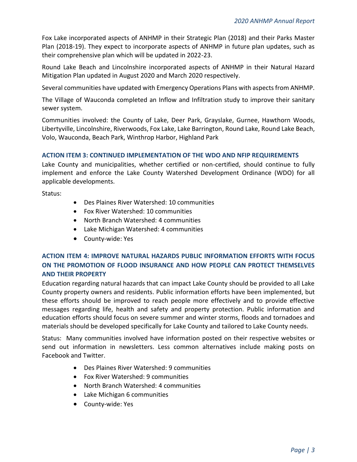Fox Lake incorporated aspects of ANHMP in their Strategic Plan (2018) and their Parks Master Plan (2018-19). They expect to incorporate aspects of ANHMP in future plan updates, such as their comprehensive plan which will be updated in 2022-23.

Round Lake Beach and Lincolnshire incorporated aspects of ANHMP in their Natural Hazard Mitigation Plan updated in August 2020 and March 2020 respectively.

Several communities have updated with Emergency Operations Plans with aspects from ANHMP.

The Village of Wauconda completed an Inflow and Infiltration study to improve their sanitary sewer system.

Communities involved: the County of Lake, Deer Park, Grayslake, Gurnee, Hawthorn Woods, Libertyville, Lincolnshire, Riverwoods, Fox Lake, Lake Barrington, Round Lake, Round Lake Beach, Volo, Wauconda, Beach Park, Winthrop Harbor, Highland Park

#### **ACTION ITEM 3: CONTINUED IMPLEMENTATION OF THE WDO AND NFIP REQUIREMENTS**

Lake County and municipalities, whether certified or non-certified, should continue to fully implement and enforce the Lake County Watershed Development Ordinance (WDO) for all applicable developments.

Status:

- Des Plaines River Watershed: 10 communities
- Fox River Watershed: 10 communities
- North Branch Watershed: 4 communities
- Lake Michigan Watershed: 4 communities
- County-wide: Yes

### **ACTION ITEM 4: IMPROVE NATURAL HAZARDS PUBLIC INFORMATION EFFORTS WITH FOCUS ON THE PROMOTION OF FLOOD INSURANCE AND HOW PEOPLE CAN PROTECT THEMSELVES AND THEIR PROPERTY**

Education regarding natural hazards that can impact Lake County should be provided to all Lake County property owners and residents. Public information efforts have been implemented, but these efforts should be improved to reach people more effectively and to provide effective messages regarding life, health and safety and property protection. Public information and education efforts should focus on severe summer and winter storms, floods and tornadoes and materials should be developed specifically for Lake County and tailored to Lake County needs.

Status: Many communities involved have information posted on their respective websites or send out information in newsletters. Less common alternatives include making posts on Facebook and Twitter.

- Des Plaines River Watershed: 9 communities
- Fox River Watershed: 9 communities
- North Branch Watershed: 4 communities
- Lake Michigan 6 communities
- County-wide: Yes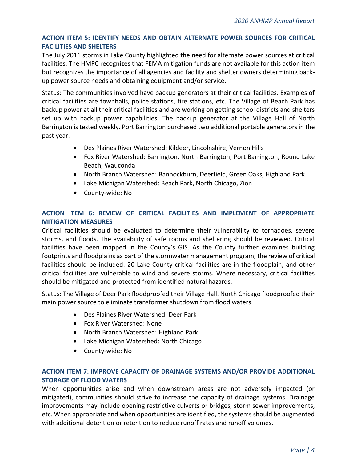#### **ACTION ITEM 5: IDENTIFY NEEDS AND OBTAIN ALTERNATE POWER SOURCES FOR CRITICAL FACILITIES AND SHELTERS**

The July 2011 storms in Lake County highlighted the need for alternate power sources at critical facilities. The HMPC recognizes that FEMA mitigation funds are not available for this action item but recognizes the importance of all agencies and facility and shelter owners determining backup power source needs and obtaining equipment and/or service.

Status: The communities involved have backup generators at their critical facilities. Examples of critical facilities are townhalls, police stations, fire stations, etc. The Village of Beach Park has backup power at all their critical facilities and are working on getting school districts and shelters set up with backup power capabilities. The backup generator at the Village Hall of North Barrington is tested weekly. Port Barrington purchased two additional portable generators in the past year.

- Des Plaines River Watershed: Kildeer, Lincolnshire, Vernon Hills
- Fox River Watershed: Barrington, North Barrington, Port Barrington, Round Lake Beach, Wauconda
- North Branch Watershed: Bannockburn, Deerfield, Green Oaks, Highland Park
- Lake Michigan Watershed: Beach Park, North Chicago, Zion
- County-wide: No

#### **ACTION ITEM 6: REVIEW OF CRITICAL FACILITIES AND IMPLEMENT OF APPROPRIATE MITIGATION MEASURES**

Critical facilities should be evaluated to determine their vulnerability to tornadoes, severe storms, and floods. The availability of safe rooms and sheltering should be reviewed. Critical facilities have been mapped in the County's GIS. As the County further examines building footprints and floodplains as part of the stormwater management program, the review of critical facilities should be included. 20 Lake County critical facilities are in the floodplain, and other critical facilities are vulnerable to wind and severe storms. Where necessary, critical facilities should be mitigated and protected from identified natural hazards.

Status: The Village of Deer Park floodproofed their Village Hall. North Chicago floodproofed their main power source to eliminate transformer shutdown from flood waters.

- Des Plaines River Watershed: Deer Park
- Fox River Watershed: None
- North Branch Watershed: Highland Park
- Lake Michigan Watershed: North Chicago
- County-wide: No

#### **ACTION ITEM 7: IMPROVE CAPACITY OF DRAINAGE SYSTEMS AND/OR PROVIDE ADDITIONAL STORAGE OF FLOOD WATERS**

When opportunities arise and when downstream areas are not adversely impacted (or mitigated), communities should strive to increase the capacity of drainage systems. Drainage improvements may include opening restrictive culverts or bridges, storm sewer improvements, etc. When appropriate and when opportunities are identified, the systems should be augmented with additional detention or retention to reduce runoff rates and runoff volumes.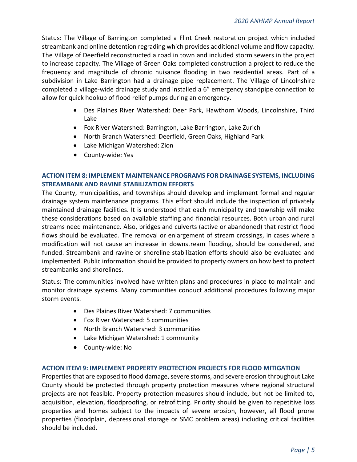Status: The Village of Barrington completed a Flint Creek restoration project which included streambank and online detention regrading which provides additional volume and flow capacity. The Village of Deerfield reconstructed a road in town and included storm sewers in the project to increase capacity. The Village of Green Oaks completed construction a project to reduce the frequency and magnitude of chronic nuisance flooding in two residential areas. Part of a subdivision in Lake Barrington had a drainage pipe replacement. The Village of Lincolnshire completed a village-wide drainage study and installed a 6" emergency standpipe connection to allow for quick hookup of flood relief pumps during an emergency.

- Des Plaines River Watershed: Deer Park, Hawthorn Woods, Lincolnshire, Third Lake
- Fox River Watershed: Barrington, Lake Barrington, Lake Zurich
- North Branch Watershed: Deerfield, Green Oaks, Highland Park
- Lake Michigan Watershed: Zion
- County-wide: Yes

#### **ACTION ITEM 8: IMPLEMENT MAINTENANCE PROGRAMS FOR DRAINAGE SYSTEMS, INCLUDING STREAMBANK AND RAVINE STABILIZATION EFFORTS**

The County, municipalities, and townships should develop and implement formal and regular drainage system maintenance programs. This effort should include the inspection of privately maintained drainage facilities. It is understood that each municipality and township will make these considerations based on available staffing and financial resources. Both urban and rural streams need maintenance. Also, bridges and culverts (active or abandoned) that restrict flood flows should be evaluated. The removal or enlargement of stream crossings, in cases where a modification will not cause an increase in downstream flooding, should be considered, and funded. Streambank and ravine or shoreline stabilization efforts should also be evaluated and implemented. Public information should be provided to property owners on how best to protect streambanks and shorelines.

Status: The communities involved have written plans and procedures in place to maintain and monitor drainage systems. Many communities conduct additional procedures following major storm events.

- Des Plaines River Watershed: 7 communities
- Fox River Watershed: 5 communities
- North Branch Watershed: 3 communities
- Lake Michigan Watershed: 1 community
- County-wide: No

#### **ACTION ITEM 9: IMPLEMENT PROPERTY PROTECTION PROJECTS FOR FLOOD MITIGATION**

Properties that are exposed to flood damage, severe storms, and severe erosion throughout Lake County should be protected through property protection measures where regional structural projects are not feasible. Property protection measures should include, but not be limited to, acquisition, elevation, floodproofing, or retrofitting. Priority should be given to repetitive loss properties and homes subject to the impacts of severe erosion, however, all flood prone properties (floodplain, depressional storage or SMC problem areas) including critical facilities should be included.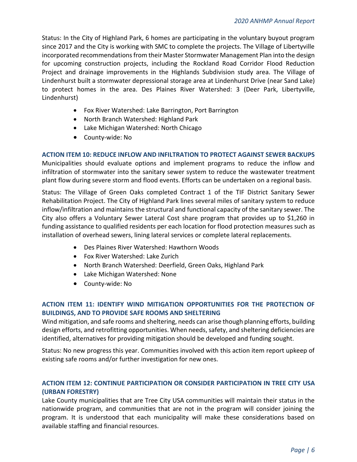Status: In the City of Highland Park, 6 homes are participating in the voluntary buyout program since 2017 and the City is working with SMC to complete the projects. The Village of Libertyville incorporated recommendations from their Master Stormwater Management Plan into the design for upcoming construction projects, including the Rockland Road Corridor Flood Reduction Project and drainage improvements in the Highlands Subdivision study area. The Village of Lindenhurst built a stormwater depressional storage area at Lindenhurst Drive (near Sand Lake) to protect homes in the area. Des Plaines River Watershed: 3 (Deer Park, Libertyville, Lindenhurst)

- Fox River Watershed: Lake Barrington, Port Barrington
- North Branch Watershed: Highland Park
- Lake Michigan Watershed: North Chicago
- County-wide: No

**ACTION ITEM 10: REDUCE INFLOW AND INFILTRATION TO PROTECT AGAINST SEWER BACKUPS** Municipalities should evaluate options and implement programs to reduce the inflow and infiltration of stormwater into the sanitary sewer system to reduce the wastewater treatment plant flow during severe storm and flood events. Efforts can be undertaken on a regional basis.

Status: The Village of Green Oaks completed Contract 1 of the TIF District Sanitary Sewer Rehabilitation Project. The City of Highland Park lines several miles of sanitary system to reduce inflow/infiltration and maintains the structural and functional capacity of the sanitary sewer. The City also offers a Voluntary Sewer Lateral Cost share program that provides up to \$1,260 in funding assistance to qualified residents per each location for flood protection measures such as installation of overhead sewers, lining lateral services or complete lateral replacements.

- Des Plaines River Watershed: Hawthorn Woods
- Fox River Watershed: Lake Zurich
- North Branch Watershed: Deerfield, Green Oaks, Highland Park
- Lake Michigan Watershed: None
- County-wide: No

#### **ACTION ITEM 11: IDENTIFY WIND MITIGATION OPPORTUNITIES FOR THE PROTECTION OF BUILDINGS, AND TO PROVIDE SAFE ROOMS AND SHELTERING**

Wind mitigation, and safe rooms and sheltering, needs can arise though planning efforts, building design efforts, and retrofitting opportunities. When needs, safety, and sheltering deficiencies are identified, alternatives for providing mitigation should be developed and funding sought.

Status: No new progress this year. Communities involved with this action item report upkeep of existing safe rooms and/or further investigation for new ones.

#### **ACTION ITEM 12: CONTINUE PARTICIPATION OR CONSIDER PARTICIPATION IN TREE CITY USA (URBAN FORESTRY)**

Lake County municipalities that are Tree City USA communities will maintain their status in the nationwide program, and communities that are not in the program will consider joining the program. It is understood that each municipality will make these considerations based on available staffing and financial resources.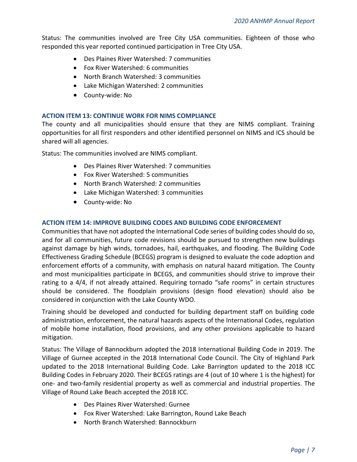Status: The communities involved are Tree City USA communities. Eighteen of those who responded this year reported continued participation in Tree City USA.

- Des Plaines River Watershed: 7 communities
- Fox River Watershed: 6 communities
- North Branch Watershed: 3 communities
- Lake Michigan Watershed: 2 communities
- County-wide: No

#### **ACTION ITEM 13: CONTINUE WORK FOR NIMS COMPLIANCE**

The county and all municipalities should ensure that they are NIMS compliant. Training opportunities for all first responders and other identified personnel on NIMS and ICS should be shared will all agencies.

Status: The communities involved are NIMS compliant.

- Des Plaines River Watershed: 7 communities
- Fox River Watershed: 5 communities
- North Branch Watershed: 2 communities
- Lake Michigan Watershed: 3 communities
- County-wide: No

#### **ACTION ITEM 14: IMPROVE BUILDING CODES AND BUILDING CODE ENFORCEMENT**

Communities that have not adopted the International Code series of building codes should do so, and for all communities, future code revisions should be pursued to strengthen new buildings against damage by high winds, tornadoes, hail, earthquakes, and flooding. The Building Code Effectiveness Grading Schedule (BCEGS) program is designed to evaluate the code adoption and enforcement efforts of a community, with emphasis on natural hazard mitigation. The County and most municipalities participate in BCEGS, and communities should strive to improve their rating to a 4/4, if not already attained. Requiring tornado "safe rooms" in certain structures should be considered. The floodplain provisions (design flood elevation) should also be considered in conjunction with the Lake County WDO.

Training should be developed and conducted for building department staff on building code administration, enforcement, the natural hazards aspects of the International Codes, regulation of mobile home installation, flood provisions, and any other provisions applicable to hazard mitigation.

Status: The Village of Bannockburn adopted the 2018 International Building Code in 2019. The Village of Gurnee accepted in the 2018 International Code Council. The City of Highland Park updated to the 2018 International Building Code. Lake Barrington updated to the 2018 ICC Building Codes in February 2020. Their BCEGS ratings are 4 (out of 10 where 1 is the highest) for one- and two-family residential property as well as commercial and industrial properties. The Village of Round Lake Beach accepted the 2018 ICC.

- Des Plaines River Watershed: Gurnee
- Fox River Watershed: Lake Barrington, Round Lake Beach
- North Branch Watershed: Bannockburn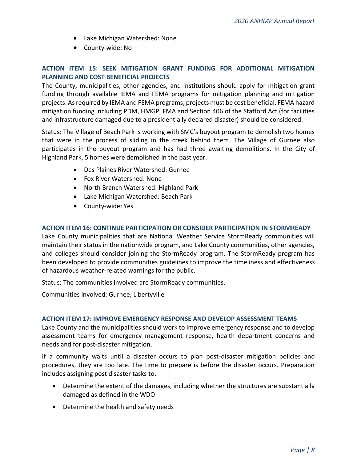- Lake Michigan Watershed: None
- County-wide: No

#### **ACTION ITEM 15: SEEK MITIGATION GRANT FUNDING FOR ADDITIONAL MITIGATION PLANNING AND COST BENEFICIAL PROJECTS**

The County, municipalities, other agencies, and institutions should apply for mitigation grant funding through available IEMA and FEMA programs for mitigation planning and mitigation projects. As required by IEMA and FEMA programs, projects must be cost beneficial. FEMA hazard mitigation funding including PDM, HMGP, FMA and Section 406 of the Stafford Act (for facilities and infrastructure damaged due to a presidentially declared disaster) should be considered.

Status: The Village of Beach Park is working with SMC's buyout program to demolish two homes that were in the process of sliding in the creek behind them. The Village of Gurnee also participates in the buyout program and has had three awaiting demolitions. In the City of Highland Park, 5 homes were demolished in the past year.

- Des Plaines River Watershed: Gurnee
- Fox River Watershed: None
- North Branch Watershed: Highland Park
- Lake Michigan Watershed: Beach Park
- County-wide: Yes

#### **ACTION ITEM 16: CONTINUE PARTICIPATION OR CONSIDER PARTICIPATION IN STORMREADY**

Lake County municipalities that are National Weather Service StormReady communities will maintain their status in the nationwide program, and Lake County communities, other agencies, and colleges should consider joining the StormReady program. The StormReady program has been developed to provide communities guidelines to improve the timeliness and effectiveness of hazardous weather-related warnings for the public.

Status: The communities involved are StormReady communities.

Communities involved: Gurnee, Libertyville

#### **ACTION ITEM 17: IMPROVE EMERGENCY RESPONSE AND DEVELOP ASSESSMENT TEAMS**

Lake County and the municipalities should work to improve emergency response and to develop assessment teams for emergency management response, health department concerns and needs and for post-disaster mitigation.

If a community waits until a disaster occurs to plan post-disaster mitigation policies and procedures, they are too late. The time to prepare is before the disaster occurs. Preparation includes assigning post disaster tasks to:

- Determine the extent of the damages, including whether the structures are substantially damaged as defined in the WDO
- Determine the health and safety needs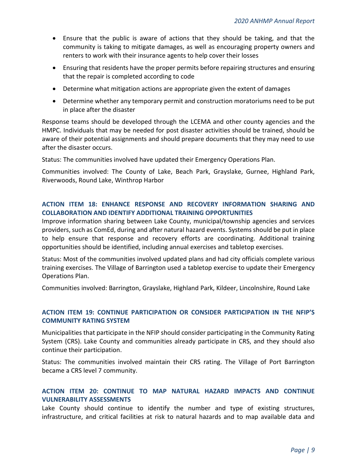- Ensure that the public is aware of actions that they should be taking, and that the community is taking to mitigate damages, as well as encouraging property owners and renters to work with their insurance agents to help cover their losses
- Ensuring that residents have the proper permits before repairing structures and ensuring that the repair is completed according to code
- Determine what mitigation actions are appropriate given the extent of damages
- Determine whether any temporary permit and construction moratoriums need to be put in place after the disaster

Response teams should be developed through the LCEMA and other county agencies and the HMPC. Individuals that may be needed for post disaster activities should be trained, should be aware of their potential assignments and should prepare documents that they may need to use after the disaster occurs.

Status: The communities involved have updated their Emergency Operations Plan.

Communities involved: The County of Lake, Beach Park, Grayslake, Gurnee, Highland Park, Riverwoods, Round Lake, Winthrop Harbor

#### **ACTION ITEM 18: ENHANCE RESPONSE AND RECOVERY INFORMATION SHARING AND COLLABORATION AND IDENTIFY ADDITIONAL TRAINING OPPORTUNITIES**

Improve information sharing between Lake County, municipal/township agencies and services providers, such as ComEd, during and after natural hazard events. Systems should be put in place to help ensure that response and recovery efforts are coordinating. Additional training opportunities should be identified, including annual exercises and tabletop exercises.

Status: Most of the communities involved updated plans and had city officials complete various training exercises. The Village of Barrington used a tabletop exercise to update their Emergency Operations Plan.

Communities involved: Barrington, Grayslake, Highland Park, Kildeer, Lincolnshire, Round Lake

#### **ACTION ITEM 19: CONTINUE PARTICIPATION OR CONSIDER PARTICIPATION IN THE NFIP'S COMMUNITY RATING SYSTEM**

Municipalities that participate in the NFIP should consider participating in the Community Rating System (CRS). Lake County and communities already participate in CRS, and they should also continue their participation.

Status: The communities involved maintain their CRS rating. The Village of Port Barrington became a CRS level 7 community.

#### **ACTION ITEM 20: CONTINUE TO MAP NATURAL HAZARD IMPACTS AND CONTINUE VULNERABILITY ASSESSMENTS**

Lake County should continue to identify the number and type of existing structures, infrastructure, and critical facilities at risk to natural hazards and to map available data and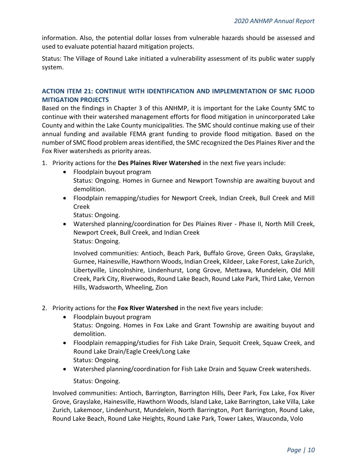information. Also, the potential dollar losses from vulnerable hazards should be assessed and used to evaluate potential hazard mitigation projects.

Status: The Village of Round Lake initiated a vulnerability assessment of its public water supply system.

#### **ACTION ITEM 21: CONTINUE WITH IDENTIFICATION AND IMPLEMENTATION OF SMC FLOOD MITIGATION PROJECTS**

Based on the findings in Chapter 3 of this ANHMP, it is important for the Lake County SMC to continue with their watershed management efforts for flood mitigation in unincorporated Lake County and within the Lake County municipalities. The SMC should continue making use of their annual funding and available FEMA grant funding to provide flood mitigation. Based on the number of SMC flood problem areas identified, the SMC recognized the Des Plaines River and the Fox River watersheds as priority areas.

- 1. Priority actions for the **Des Plaines River Watershed** in the next five years include:
	- Floodplain buyout program Status: Ongoing. Homes in Gurnee and Newport Township are awaiting buyout and demolition.
	- Floodplain remapping/studies for Newport Creek, Indian Creek, Bull Creek and Mill Creek

Status: Ongoing.

• Watershed planning/coordination for Des Plaines River - Phase II, North Mill Creek, Newport Creek, Bull Creek, and Indian Creek Status: Ongoing.

Involved communities: Antioch, Beach Park, Buffalo Grove, Green Oaks, Grayslake, Gurnee, Hainesville, Hawthorn Woods, Indian Creek, Kildeer, Lake Forest, Lake Zurich, Libertyville, Lincolnshire, Lindenhurst, Long Grove, Mettawa, Mundelein, Old Mill Creek, Park City, Riverwoods, Round Lake Beach, Round Lake Park, Third Lake, Vernon Hills, Wadsworth, Wheeling, Zion

- 2. Priority actions for the **Fox River Watershed** in the next five years include:
	- Floodplain buyout program Status: Ongoing. Homes in Fox Lake and Grant Township are awaiting buyout and demolition.
	- Floodplain remapping/studies for Fish Lake Drain, Sequoit Creek, Squaw Creek, and Round Lake Drain/Eagle Creek/Long Lake Status: Ongoing.
	- Watershed planning/coordination for Fish Lake Drain and Squaw Creek watersheds. Status: Ongoing.

Involved communities: Antioch, Barrington, Barrington Hills, Deer Park, Fox Lake, Fox River Grove, Grayslake, Hainesville, Hawthorn Woods, Island Lake, Lake Barrington, Lake Villa, Lake Zurich, Lakemoor, Lindenhurst, Mundelein, North Barrington, Port Barrington, Round Lake, Round Lake Beach, Round Lake Heights, Round Lake Park, Tower Lakes, Wauconda, Volo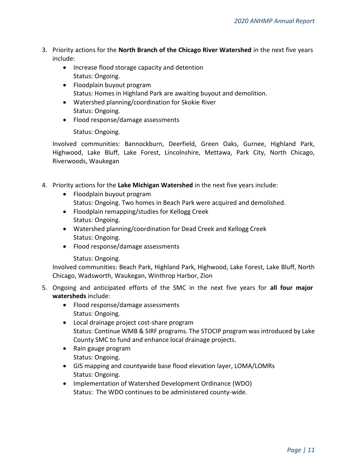- 3. Priority actions for the **North Branch of the Chicago River Watershed** in the next five years include:
	- Increase flood storage capacity and detention Status: Ongoing.
	- Floodplain buyout program Status: Homes in Highland Park are awaiting buyout and demolition.
	- Watershed planning/coordination for Skokie River Status: Ongoing.
	- Flood response/damage assessments

Status: Ongoing.

Involved communities: Bannockburn, Deerfield, Green Oaks, Gurnee, Highland Park, Highwood, Lake Bluff, Lake Forest, Lincolnshire, Mettawa, Park City, North Chicago, Riverwoods, Waukegan

- 4. Priority actions for the **Lake Michigan Watershed** in the next five years include:
	- Floodplain buyout program
		- Status: Ongoing. Two homes in Beach Park were acquired and demolished.
	- Floodplain remapping/studies for Kellogg Creek Status: Ongoing.
	- Watershed planning/coordination for Dead Creek and Kellogg Creek Status: Ongoing.
	- Flood response/damage assessments
		- Status: Ongoing.

Involved communities: Beach Park, Highland Park, Highwood, Lake Forest, Lake Bluff, North Chicago, Wadsworth, Waukegan, Winthrop Harbor, Zion

- 5. Ongoing and anticipated efforts of the SMC in the next five years for **all four major watersheds** include:
	- Flood response/damage assessments Status: Ongoing.
	- Local drainage project cost-share program Status: Continue WMB & SIRF programs. The STOCIP program was introduced by Lake County SMC to fund and enhance local drainage projects.
	- Rain gauge program Status: Ongoing.
	- GIS mapping and countywide base flood elevation layer, LOMA/LOMRs Status: Ongoing.
	- Implementation of Watershed Development Ordinance (WDO) Status: The WDO continues to be administered county-wide.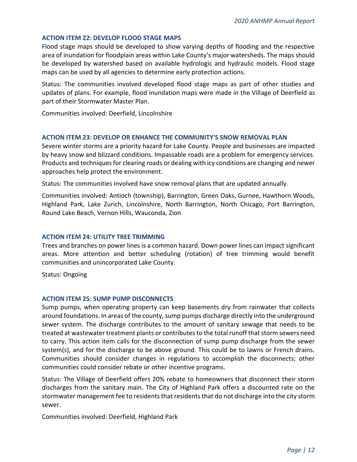#### **ACTION ITEM 22: DEVELOP FLOOD STAGE MAPS**

Flood stage maps should be developed to show varying depths of flooding and the respective area of inundation for floodplain areas within Lake County's major watersheds. The maps should be developed by watershed based on available hydrologic and hydraulic models. Flood stage maps can be used by all agencies to determine early protection actions.

Status: The communities involved developed flood stage maps as part of other studies and updates of plans. For example, flood inundation maps were made in the Village of Deerfield as part of their Stormwater Master Plan.

Communities involved: Deerfield, Lincolnshire

#### **ACTION ITEM 23: DEVELOP OR ENHANCE THE COMMUNITY'S SNOW REMOVAL PLAN**

Severe winter storms are a priority hazard for Lake County. People and businesses are impacted by heavy snow and blizzard conditions. Impassable roads are a problem for emergency services. Products and techniques for clearing roads or dealing with icy conditions are changing and newer approaches help protect the environment.

Status: The communities involved have snow removal plans that are updated annually.

Communities involved: Antioch (township), Barrington, Green Oaks, Gurnee, Hawthorn Woods, Highland Park, Lake Zurich, Lincolnshire, North Barrington, North Chicago, Port Barrington, Round Lake Beach, Vernon Hills, Wauconda, Zion

#### **ACTION ITEM 24: UTILITY TREE TRIMMING**

Trees and branches on power lines is a common hazard. Down power lines can impact significant areas. More attention and better scheduling (rotation) of tree trimming would benefit communities and unincorporated Lake County.

Status: Ongoing

#### **ACTION ITEM 25: SUMP PUMP DISCONNECTS**

Sump pumps, when operating property can keep basements dry from rainwater that collects around foundations. In areas of the county, sump pumps discharge directly into the underground sewer system. The discharge contributes to the amount of sanitary sewage that needs to be treated at wastewater treatment plants or contributes to the total runoff that storm sewers need to carry. This action item calls for the disconnection of sump pump discharge from the sewer system(s), and for the discharge to be above ground. This could be to lawns or French drains. Communities should consider changes in regulations to accomplish the disconnects; other communities could consider rebate or other incentive programs.

Status: The Village of Deerfield offers 20% rebate to homeowners that disconnect their storm discharges from the sanitary main. The City of Highland Park offers a discounted rate on the stormwater management fee to residents that residents that do not discharge into the city storm sewer.

Communities involved: Deerfield, Highland Park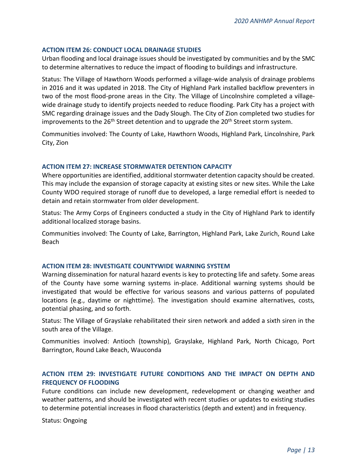#### **ACTION ITEM 26: CONDUCT LOCAL DRAINAGE STUDIES**

Urban flooding and local drainage issues should be investigated by communities and by the SMC to determine alternatives to reduce the impact of flooding to buildings and infrastructure.

Status: The Village of Hawthorn Woods performed a village-wide analysis of drainage problems in 2016 and it was updated in 2018. The City of Highland Park installed backflow preventers in two of the most flood-prone areas in the City. The Village of Lincolnshire completed a villagewide drainage study to identify projects needed to reduce flooding. Park City has a project with SMC regarding drainage issues and the Dady Slough. The City of Zion completed two studies for improvements to the 26<sup>th</sup> Street detention and to upgrade the 20<sup>th</sup> Street storm system.

Communities involved: The County of Lake, Hawthorn Woods, Highland Park, Lincolnshire, Park City, Zion

#### **ACTION ITEM 27: INCREASE STORMWATER DETENTION CAPACITY**

Where opportunities are identified, additional stormwater detention capacity should be created. This may include the expansion of storage capacity at existing sites or new sites. While the Lake County WDO required storage of runoff due to developed, a large remedial effort is needed to detain and retain stormwater from older development.

Status: The Army Corps of Engineers conducted a study in the City of Highland Park to identify additional localized storage basins.

Communities involved: The County of Lake, Barrington, Highland Park, Lake Zurich, Round Lake Beach

#### **ACTION ITEM 28: INVESTIGATE COUNTYWIDE WARNING SYSTEM**

Warning dissemination for natural hazard events is key to protecting life and safety. Some areas of the County have some warning systems in-place. Additional warning systems should be investigated that would be effective for various seasons and various patterns of populated locations (e.g., daytime or nighttime). The investigation should examine alternatives, costs, potential phasing, and so forth.

Status: The Village of Grayslake rehabilitated their siren network and added a sixth siren in the south area of the Village.

Communities involved: Antioch (township), Grayslake, Highland Park, North Chicago, Port Barrington, Round Lake Beach, Wauconda

#### **ACTION ITEM 29: INVESTIGATE FUTURE CONDITIONS AND THE IMPACT ON DEPTH AND FREQUENCY OF FLOODING**

Future conditions can include new development, redevelopment or changing weather and weather patterns, and should be investigated with recent studies or updates to existing studies to determine potential increases in flood characteristics (depth and extent) and in frequency.

Status: Ongoing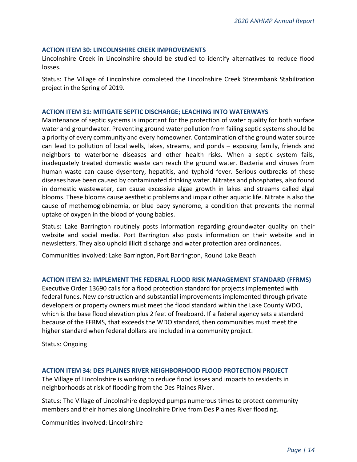#### **ACTION ITEM 30: LINCOLNSHIRE CREEK IMPROVEMENTS**

Lincolnshire Creek in Lincolnshire should be studied to identify alternatives to reduce flood losses.

Status: The Village of Lincolnshire completed the Lincolnshire Creek Streambank Stabilization project in the Spring of 2019.

#### **ACTION ITEM 31: MITIGATE SEPTIC DISCHARGE; LEACHING INTO WATERWAYS**

Maintenance of septic systems is important for the protection of water quality for both surface water and groundwater. Preventing ground water pollution from failing septic systems should be a priority of every community and every homeowner. Contamination of the ground water source can lead to pollution of local wells, lakes, streams, and ponds – exposing family, friends and neighbors to waterborne diseases and other health risks. When a septic system fails, inadequately treated domestic waste can reach the ground water. Bacteria and viruses from human waste can cause dysentery, hepatitis, and typhoid fever. Serious outbreaks of these diseases have been caused by contaminated drinking water. Nitrates and phosphates, also found in domestic wastewater, can cause excessive algae growth in lakes and streams called algal blooms. These blooms cause aesthetic problems and impair other aquatic life. Nitrate is also the cause of methemoglobinemia, or blue baby syndrome, a condition that prevents the normal uptake of oxygen in the blood of young babies.

Status: Lake Barrington routinely posts information regarding groundwater quality on their website and social media. Port Barrington also posts information on their website and in newsletters. They also uphold illicit discharge and water protection area ordinances.

Communities involved: Lake Barrington, Port Barrington, Round Lake Beach

#### **ACTION ITEM 32: IMPLEMENT THE FEDERAL FLOOD RISK MANAGEMENT STANDARD (FFRMS)**

Executive Order 13690 calls for a flood protection standard for projects implemented with federal funds. New construction and substantial improvements implemented through private developers or property owners must meet the flood standard within the Lake County WDO, which is the base flood elevation plus 2 feet of freeboard. If a federal agency sets a standard because of the FFRMS, that exceeds the WDO standard, then communities must meet the higher standard when federal dollars are included in a community project.

Status: Ongoing

#### **ACTION ITEM 34: DES PLAINES RIVER NEIGHBORHOOD FLOOD PROTECTION PROJECT**

The Village of Lincolnshire is working to reduce flood losses and impacts to residents in neighborhoods at risk of flooding from the Des Plaines River.

Status: The Village of Lincolnshire deployed pumps numerous times to protect community members and their homes along Lincolnshire Drive from Des Plaines River flooding.

Communities involved: Lincolnshire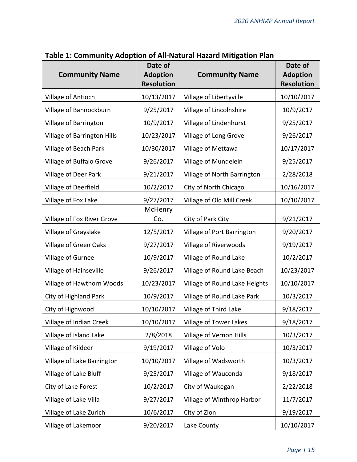| <b>Community Name</b>       | Date of<br><b>Adoption</b><br><b>Resolution</b> | <b>Community Name</b>         | Date of<br><b>Adoption</b><br><b>Resolution</b> |
|-----------------------------|-------------------------------------------------|-------------------------------|-------------------------------------------------|
| Village of Antioch          | 10/13/2017                                      | Village of Libertyville       | 10/10/2017                                      |
| Village of Bannockburn      | 9/25/2017                                       | Village of Lincolnshire       | 10/9/2017                                       |
| Village of Barrington       | 10/9/2017                                       | Village of Lindenhurst        | 9/25/2017                                       |
| Village of Barrington Hills | 10/23/2017                                      | Village of Long Grove         | 9/26/2017                                       |
| Village of Beach Park       | 10/30/2017                                      | Village of Mettawa            | 10/17/2017                                      |
| Village of Buffalo Grove    | 9/26/2017                                       | Village of Mundelein          | 9/25/2017                                       |
| Village of Deer Park        | 9/21/2017                                       | Village of North Barrington   | 2/28/2018                                       |
| Village of Deerfield        | 10/2/2017                                       | City of North Chicago         | 10/16/2017                                      |
| Village of Fox Lake         | 9/27/2017                                       | Village of Old Mill Creek     | 10/10/2017                                      |
| Village of Fox River Grove  | McHenry<br>Co.                                  | City of Park City             | 9/21/2017                                       |
| Village of Grayslake        | 12/5/2017                                       | Village of Port Barrington    | 9/20/2017                                       |
| Village of Green Oaks       | 9/27/2017                                       | Village of Riverwoods         | 9/19/2017                                       |
| Village of Gurnee           | 10/9/2017                                       | Village of Round Lake         | 10/2/2017                                       |
| Village of Hainseville      | 9/26/2017                                       | Village of Round Lake Beach   | 10/23/2017                                      |
| Village of Hawthorn Woods   | 10/23/2017                                      | Village of Round Lake Heights | 10/10/2017                                      |
| City of Highland Park       | 10/9/2017                                       | Village of Round Lake Park    | 10/3/2017                                       |
| City of Highwood            | 10/10/2017                                      | Village of Third Lake         | 9/18/2017                                       |
| Village of Indian Creek     | 10/10/2017                                      | Village of Tower Lakes        | 9/18/2017                                       |
| Village of Island Lake      | 2/8/2018                                        | Village of Vernon Hills       | 10/3/2017                                       |
| Village of Kildeer          | 9/19/2017                                       | Village of Volo               | 10/3/2017                                       |
| Village of Lake Barrington  | 10/10/2017                                      | Village of Wadsworth          | 10/3/2017                                       |
| Village of Lake Bluff       | 9/25/2017                                       | Village of Wauconda           | 9/18/2017                                       |
| City of Lake Forest         | 10/2/2017                                       | City of Waukegan              | 2/22/2018                                       |
| Village of Lake Villa       | 9/27/2017                                       | Village of Winthrop Harbor    | 11/7/2017                                       |
| Village of Lake Zurich      | 10/6/2017                                       | City of Zion                  | 9/19/2017                                       |
| Village of Lakemoor         | 9/20/2017                                       | Lake County                   | 10/10/2017                                      |

# **Table 1: Community Adoption of All-Natural Hazard Mitigation Plan**